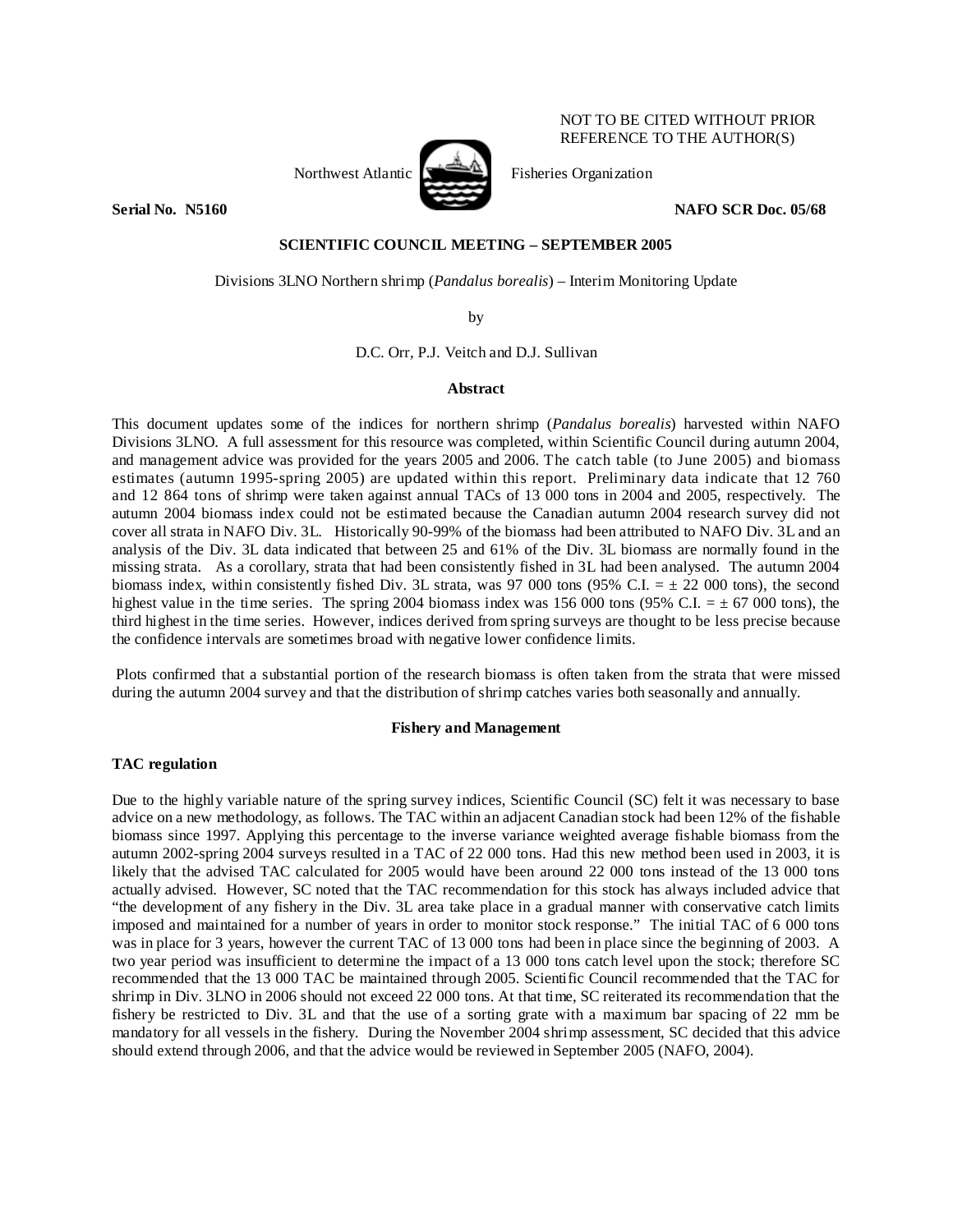Northwest Atlantic **Northwest Atlantic** Fisheries Organization



# REFERENCE TO THE AUTHOR(S)

**Serial No. 3.5160 NAFO SCR Doc. 05/68 NAFO SCR Doc. 05/68** 

NOT TO BE CITED WITHOUT PRIOR

# **SCIENTIFIC COUNCIL MEETING – SEPTEMBER 2005**

Divisions 3LNO Northern shrimp (*Pandalus borealis*) – Interim Monitoring Update

by

D.C. Orr, P.J. Veitch and D.J. Sullivan

# **Abstract**

This document updates some of the indices for northern shrimp (*Pandalus borealis*) harvested within NAFO Divisions 3LNO. A full assessment for this resource was completed, within Scientific Council during autumn 2004, and management advice was provided for the years 2005 and 2006. The catch table (to June 2005) and biomass estimates (autumn 1995-spring 2005) are updated within this report. Preliminary data indicate that 12 760 and 12 864 tons of shrimp were taken against annual TACs of 13 000 tons in 2004 and 2005, respectively. The autumn 2004 biomass index could not be estimated because the Canadian autumn 2004 research survey did not cover all strata in NAFO Div. 3L. Historically 90-99% of the biomass had been attributed to NAFO Div. 3L and an analysis of the Div. 3L data indicated that between 25 and 61% of the Div. 3L biomass are normally found in the missing strata. As a corollary, strata that had been consistently fished in 3L had been analysed. The autumn 2004 biomass index, within consistently fished Div. 3L strata, was 97 000 tons (95% C.I.  $= \pm 22$  000 tons), the second highest value in the time series. The spring 2004 biomass index was 156 000 tons (95% C.I.  $= \pm 67$  000 tons), the third highest in the time series. However, indices derived from spring surveys are thought to be less precise because the confidence intervals are sometimes broad with negative lower confidence limits.

 Plots confirmed that a substantial portion of the research biomass is often taken from the strata that were missed during the autumn 2004 survey and that the distribution of shrimp catches varies both seasonally and annually.

# **Fishery and Management**

# **TAC regulation**

Due to the highly variable nature of the spring survey indices, Scientific Council (SC) felt it was necessary to base advice on a new methodology, as follows. The TAC within an adjacent Canadian stock had been 12% of the fishable biomass since 1997. Applying this percentage to the inverse variance weighted average fishable biomass from the autumn 2002-spring 2004 surveys resulted in a TAC of 22 000 tons. Had this new method been used in 2003, it is likely that the advised TAC calculated for 2005 would have been around 22 000 tons instead of the 13 000 tons actually advised. However, SC noted that the TAC recommendation for this stock has always included advice that "the development of any fishery in the Div. 3L area take place in a gradual manner with conservative catch limits imposed and maintained for a number of years in order to monitor stock response." The initial TAC of 6 000 tons was in place for 3 years, however the current TAC of 13 000 tons had been in place since the beginning of 2003. A two year period was insufficient to determine the impact of a 13 000 tons catch level upon the stock; therefore SC recommended that the 13 000 TAC be maintained through 2005. Scientific Council recommended that the TAC for shrimp in Div. 3LNO in 2006 should not exceed 22 000 tons. At that time, SC reiterated its recommendation that the fishery be restricted to Div. 3L and that the use of a sorting grate with a maximum bar spacing of 22 mm be mandatory for all vessels in the fishery. During the November 2004 shrimp assessment, SC decided that this advice should extend through 2006, and that the advice would be reviewed in September 2005 (NAFO, 2004).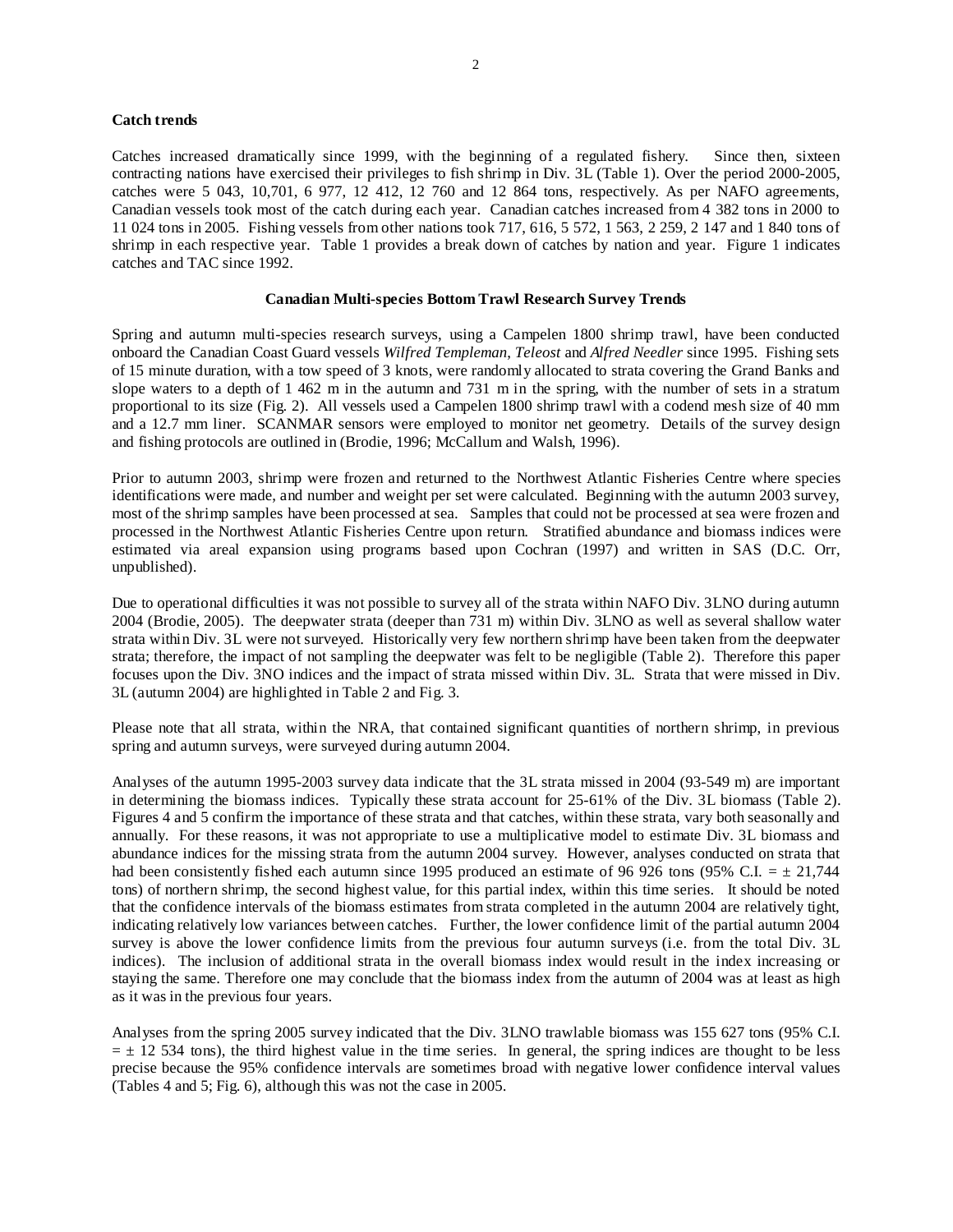## **Catch trends**

Catches increased dramatically since 1999, with the beginning of a regulated fishery. Since then, sixteen contracting nations have exercised their privileges to fish shrimp in Div. 3L (Table 1). Over the period 2000-2005, catches were 5 043, 10,701, 6 977, 12 412, 12 760 and 12 864 tons, respectively. As per NAFO agreements, Canadian vessels took most of the catch during each year. Canadian catches increased from 4 382 tons in 2000 to 11 024 tons in 2005. Fishing vessels from other nations took 717, 616, 5 572, 1 563, 2 259, 2 147 and 1 840 tons of shrimp in each respective year. Table 1 provides a break down of catches by nation and year. Figure 1 indicates catches and TAC since 1992.

### **Canadian Multi-species Bottom Trawl Research Survey Trends**

Spring and autumn multi-species research surveys, using a Campelen 1800 shrimp trawl, have been conducted onboard the Canadian Coast Guard vessels *Wilfred Templeman*, *Teleost* and *Alfred Needler* since 1995. Fishing sets of 15 minute duration, with a tow speed of 3 knots, were randomly allocated to strata covering the Grand Banks and slope waters to a depth of 1 462 m in the autumn and 731 m in the spring, with the number of sets in a stratum proportional to its size (Fig. 2). All vessels used a Campelen 1800 shrimp trawl with a codend mesh size of 40 mm and a 12.7 mm liner. SCANMAR sensors were employed to monitor net geometry. Details of the survey design and fishing protocols are outlined in (Brodie, 1996; McCallum and Walsh, 1996).

Prior to autumn 2003, shrimp were frozen and returned to the Northwest Atlantic Fisheries Centre where species identifications were made, and number and weight per set were calculated. Beginning with the autumn 2003 survey, most of the shrimp samples have been processed at sea. Samples that could not be processed at sea were frozen and processed in the Northwest Atlantic Fisheries Centre upon return. Stratified abundance and biomass indices were estimated via areal expansion using programs based upon Cochran (1997) and written in SAS (D.C. Orr, unpublished).

Due to operational difficulties it was not possible to survey all of the strata within NAFO Div. 3LNO during autumn 2004 (Brodie, 2005). The deepwater strata (deeper than 731 m) within Div. 3LNO as well as several shallow water strata within Div. 3L were not surveyed. Historically very few northern shrimp have been taken from the deepwater strata; therefore, the impact of not sampling the deepwater was felt to be negligible (Table 2). Therefore this paper focuses upon the Div. 3NO indices and the impact of strata missed within Div. 3L. Strata that were missed in Div. 3L (autumn 2004) are highlighted in Table 2 and Fig. 3.

Please note that all strata, within the NRA, that contained significant quantities of northern shrimp, in previous spring and autumn surveys, were surveyed during autumn 2004.

Analyses of the autumn 1995-2003 survey data indicate that the 3L strata missed in 2004 (93-549 m) are important in determining the biomass indices. Typically these strata account for 25-61% of the Div. 3L biomass (Table 2). Figures 4 and 5 confirm the importance of these strata and that catches, within these strata, vary both seasonally and annually. For these reasons, it was not appropriate to use a multiplicative model to estimate Div. 3L biomass and abundance indices for the missing strata from the autumn 2004 survey. However, analyses conducted on strata that had been consistently fished each autumn since 1995 produced an estimate of 96 926 tons (95% C.I. =  $\pm$  21,744 tons) of northern shrimp, the second highest value, for this partial index, within this time series. It should be noted that the confidence intervals of the biomass estimates from strata completed in the autumn 2004 are relatively tight, indicating relatively low variances between catches. Further, the lower confidence limit of the partial autumn 2004 survey is above the lower confidence limits from the previous four autumn surveys (i.e. from the total Div. 3L indices). The inclusion of additional strata in the overall biomass index would result in the index increasing or staying the same. Therefore one may conclude that the biomass index from the autumn of 2004 was at least as high as it was in the previous four years.

Analyses from the spring 2005 survey indicated that the Div. 3LNO trawlable biomass was 155 627 tons (95% C.I.  $= \pm 12$  534 tons), the third highest value in the time series. In general, the spring indices are thought to be less precise because the 95% confidence intervals are sometimes broad with negative lower confidence interval values (Tables 4 and 5; Fig. 6), although this was not the case in 2005.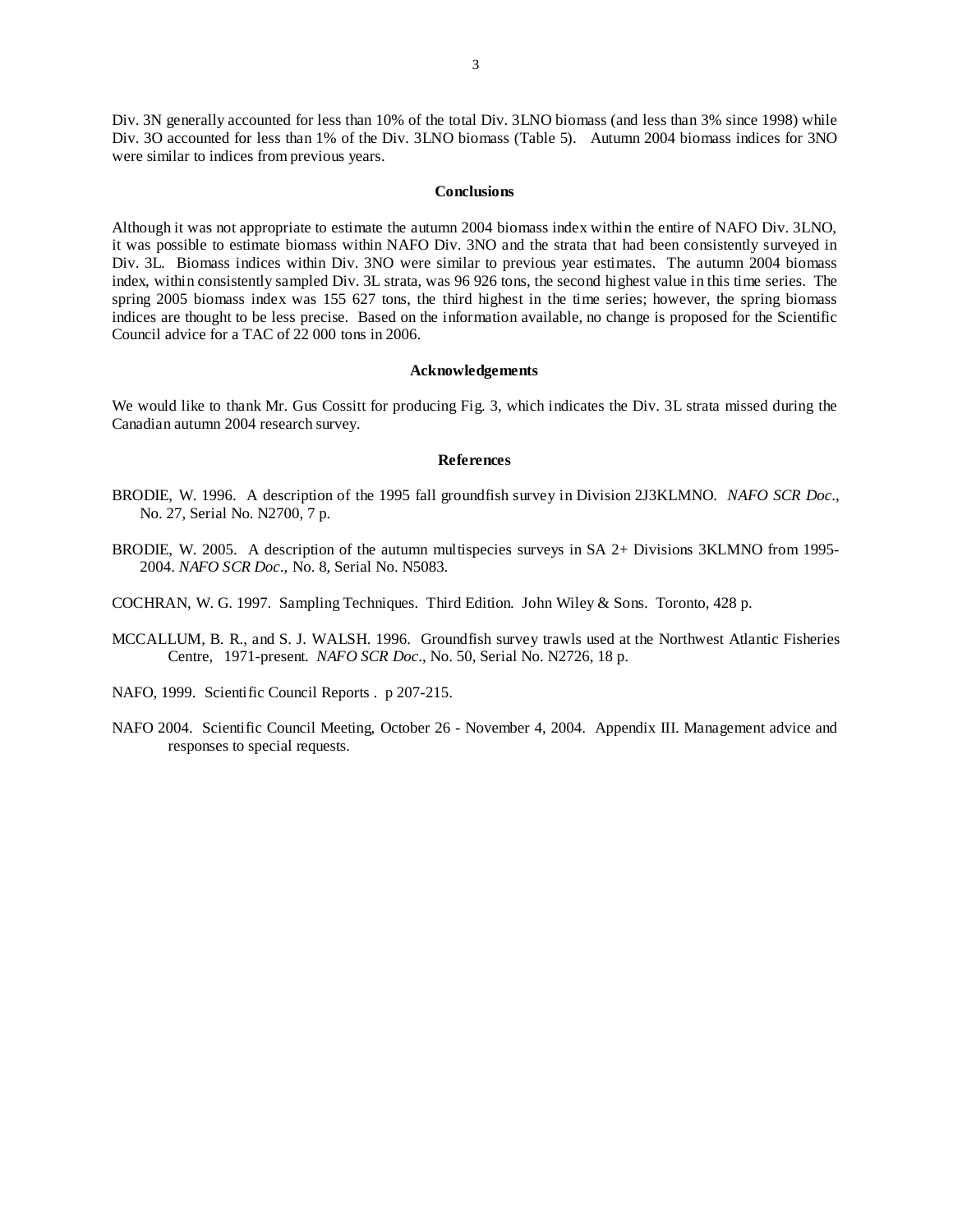Div. 3N generally accounted for less than 10% of the total Div. 3LNO biomass (and less than 3% since 1998) while Div. 3O accounted for less than 1% of the Div. 3LNO biomass (Table 5). Autumn 2004 biomass indices for 3NO were similar to indices from previous years.

#### **Conclusions**

Although it was not appropriate to estimate the autumn 2004 biomass index within the entire of NAFO Div. 3LNO, it was possible to estimate biomass within NAFO Div. 3NO and the strata that had been consistently surveyed in Div. 3L. Biomass indices within Div. 3NO were similar to previous year estimates. The autumn 2004 biomass index, within consistently sampled Div. 3L strata, was 96 926 tons, the second highest value in this time series. The spring 2005 biomass index was 155 627 tons, the third highest in the time series; however, the spring biomass indices are thought to be less precise. Based on the information available, no change is proposed for the Scientific Council advice for a TAC of 22 000 tons in 2006.

#### **Acknowledgements**

We would like to thank Mr. Gus Cossitt for producing Fig. 3, which indicates the Div. 3L strata missed during the Canadian autumn 2004 research survey.

#### **References**

- BRODIE, W. 1996. A description of the 1995 fall groundfish survey in Division 2J3KLMNO. *NAFO SCR Doc*., No. 27, Serial No. N2700, 7 p.
- BRODIE, W. 2005. A description of the autumn multispecies surveys in SA 2+ Divisions 3KLMNO from 1995- 2004. *NAFO SCR Doc*., No. 8, Serial No. N5083.
- COCHRAN, W. G. 1997. Sampling Techniques. Third Edition. John Wiley & Sons. Toronto, 428 p.
- MCCALLUM, B. R., and S. J. WALSH. 1996. Groundfish survey trawls used at the Northwest Atlantic Fisheries Centre, 1971-present. *NAFO SCR Doc*., No. 50, Serial No. N2726, 18 p.
- NAFO, 1999. Scientific Council Reports . p 207-215.
- NAFO 2004. Scientific Council Meeting, October 26 November 4, 2004. Appendix III. Management advice and responses to special requests.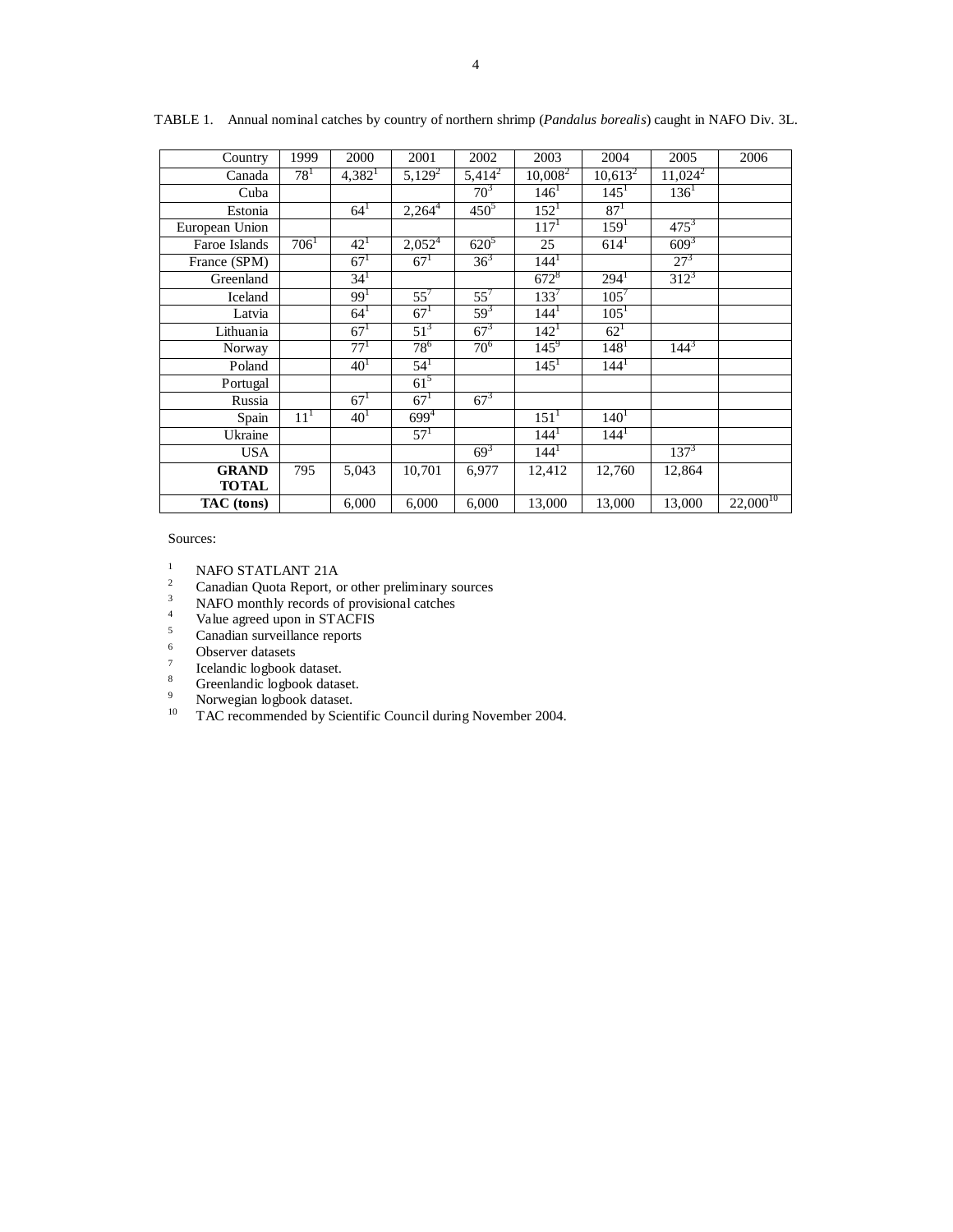| Country        | 1999            | 2000            | 2001               | 2002             | 2003               | 2004             | 2005       | 2006          |
|----------------|-----------------|-----------------|--------------------|------------------|--------------------|------------------|------------|---------------|
| Canada         | $78^{1}$        | $4,382^1$       | $5,129^2$          | $\sqrt{5,414^2}$ | $10,008^2$         | $10,613^2$       | $11,024^2$ |               |
| Cuba           |                 |                 |                    | $70^{3}$         | $146^1$            | $145^1$          | $136^1$    |               |
| Estonia        |                 | $64^{1}$        | $2,264^4$          | $450^{5}$        | 152 <sup>1</sup>   | 87 <sup>1</sup>  |            |               |
| European Union |                 |                 |                    |                  | 117 <sup>1</sup>   | 159 <sup>1</sup> | $475^3$    |               |
| Faroe Islands  | $706^1$         | $42^{1}$        | 2,052 <sup>4</sup> | $620^{5}$        | 25                 | $614^1$          | $609^{3}$  |               |
| France (SPM)   |                 | $67^{1}$        | $67^{1}$           | $36^{3}$         | 144 <sup>1</sup>   |                  | $27^{3}$   |               |
| Greenland      |                 | $34^{1}$        |                    |                  | $672^8$            | $294^1$          | $312^3$    |               |
| Iceland        |                 | 99 <sup>1</sup> | $55^7$             | $55^{7}$         | $133^{7}$          | $105^{7}$        |            |               |
| Latvia         |                 | $64^{1}$        | 67 <sup>1</sup>    | $59^{3}$         | 144 <sup>1</sup>   | 105 <sup>1</sup> |            |               |
| Lithuania      |                 | $67^{1}$        | $51^3$             | $67^{3}$         | $142^1$            | $62^{1}$         |            |               |
| Norway         |                 | $77^{1}$        | $78^{6}$           | $70^{6}$         | $145^9$            | 148 <sup>1</sup> | $144^{3}$  |               |
| Poland         |                 | 40 <sup>1</sup> | $54^{1}$           |                  | $145^1$            | $144^1$          |            |               |
| Portugal       |                 |                 | $61^5$             |                  |                    |                  |            |               |
| Russia         |                 | $67^{1}$        | 67 <sup>1</sup>    | $67^{3}$         |                    |                  |            |               |
| Spain          | 11 <sup>1</sup> | 40 <sup>1</sup> | $699^{4}$          |                  | $151$ <sup>1</sup> | $140^{1}$        |            |               |
| Ukraine        |                 |                 | $57^{1}$           |                  | $144^1$            | $144^1$          |            |               |
| <b>USA</b>     |                 |                 |                    | $69^{3}$         | 144 <sup>1</sup>   |                  | $137^{3}$  |               |
| <b>GRAND</b>   | 795             | 5,043           | 10,701             | 6,977            | 12,412             | 12,760           | 12,864     |               |
| <b>TOTAL</b>   |                 |                 |                    |                  |                    |                  |            |               |
| TAC (tons)     |                 | 6,000           | 6,000              | 6,000            | 13,000             | 13,000           | 13,000     | $22,000^{10}$ |

TABLE 1. Annual nominal catches by country of northern shrimp (*Pandalus borealis*) caught in NAFO Div. 3L.

Sources:

- 
- <sup>1</sup> NAFO STATLANT 21A<br><sup>2</sup> Canadian Quota Report, or other preliminary sources<br><sup>3</sup> NAFO monthly records of provisional catches
- NAFO monthly records of provisional catches
- 4 Value agreed upon in STACFIS
- $\frac{5}{6}$  Canadian surveillance reports
- Observer datasets
- 7 Icelandic logbook dataset.
- 8 Greenlandic logbook dataset.
- 9 Norwegian logbook dataset.
- <sup>10</sup> TAC recommended by Scientific Council during November 2004.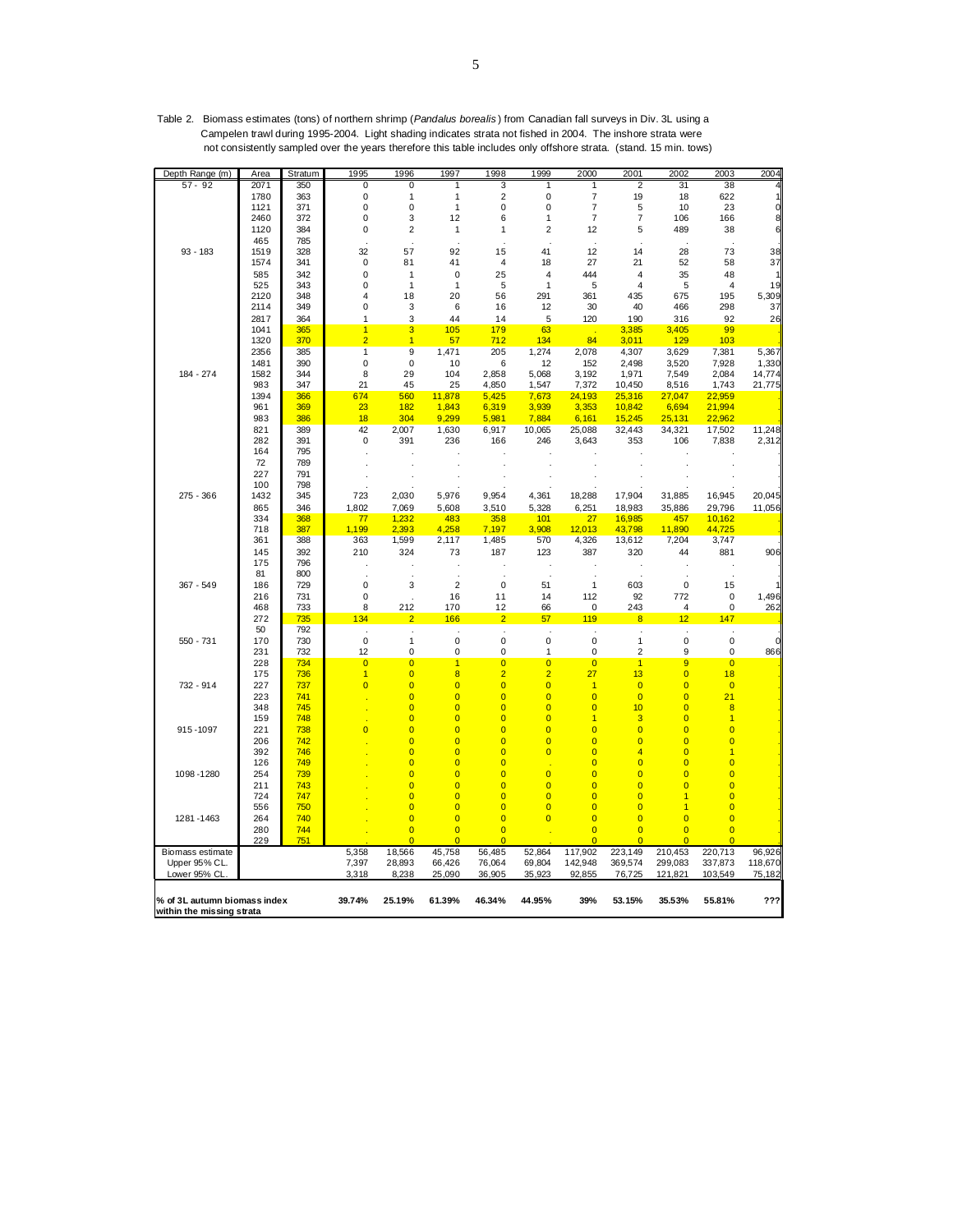| Depth Range (m)                                           | Area        | Stratum    | 1995                    | 1996                             | 1997                             | 1998                             | 1999                             | 2000                | 2001                    | 2002                             | 2003                             | 2004                                  |
|-----------------------------------------------------------|-------------|------------|-------------------------|----------------------------------|----------------------------------|----------------------------------|----------------------------------|---------------------|-------------------------|----------------------------------|----------------------------------|---------------------------------------|
| $57 - 92$                                                 | 2071        | 350        | 0                       | 0                                | 1                                | 3                                | 1                                | 1                   | 2                       | 31                               | 38                               | 4                                     |
|                                                           | 1780        | 363        | 0                       | 1                                | 1                                | $\overline{2}$                   | 0                                | $\overline{7}$      | 19                      | 18                               | 622                              | $\begin{array}{c} 1 \\ 0 \end{array}$ |
|                                                           | 1121        | 371        | 0                       | 0                                | $\mathbf{1}$                     | 0                                | 0                                | $\overline{7}$      | 5                       | 10                               | 23                               |                                       |
|                                                           | 2460        | 372        | 0                       | 3                                | 12                               | 6                                | 1                                | $\overline{7}$      | $\overline{7}$          | 106                              | 166                              | 8                                     |
|                                                           | 1120        | 384        | 0                       | $\overline{2}$                   | 1                                | 1                                | 2                                | 12                  | 5                       | 489                              | 38                               | 6                                     |
| $93 - 183$                                                | 465<br>1519 | 785<br>328 | 32                      | 57                               | 92                               | 15                               | 41                               | 12                  | 14                      | 28                               | 73                               | 38                                    |
|                                                           | 1574        | 341        | $\pmb{0}$               | 81                               | 41                               | 4                                | 18                               | 27                  | 21                      | 52                               | 58                               | 37                                    |
|                                                           | 585         | 342        | 0                       | $\mathbf{1}$                     | 0                                | 25                               | 4                                | 444                 | 4                       | 35                               | 48                               |                                       |
|                                                           | 525         | 343        | 0                       | $\mathbf{1}$                     | $\mathbf{1}$                     | 5                                | 1                                | 5                   | $\overline{4}$          | 5                                | 4                                | 19                                    |
|                                                           | 2120        | 348        | 4                       | 18                               | 20                               | 56                               | 291                              | 361                 | 435                     | 675                              | 195                              | 5,309                                 |
|                                                           | 2114        | 349        | 0                       | 3                                | 6                                | 16                               | 12                               | 30                  | 40                      | 466                              | 298                              | 37                                    |
|                                                           | 2817        | 364        | 1                       | 3                                | 44                               | 14                               | 5                                | 120                 | 190                     | 316                              | 92                               | 26                                    |
|                                                           | 1041        | 365        | $\overline{1}$          | 3                                | 105                              | 179                              | 63                               | - 1                 | 3,385                   | 3,405                            | 99                               |                                       |
|                                                           | 1320        | 370        | $\overline{2}$          | $\overline{1}$                   | 57                               | 712                              | 134                              | 84                  | 3,011                   | 129                              | 103                              |                                       |
|                                                           | 2356        | 385        | $\overline{1}$          | 9                                | 1,471                            | 205                              | 1,274                            | 2,078               | 4,307                   | 3,629                            | 7,381                            | 5,367                                 |
|                                                           | 1481        | 390        | $\mathbf 0$             | 0                                | 10                               | 6                                | 12                               | 152                 | 2,498                   | 3,520                            | 7,928                            | 1,330                                 |
| 184 - 274                                                 | 1582        | 344        | 8                       | 29                               | 104                              | 2,858                            | 5,068                            | 3,192               | 1,971                   | 7,549                            | 2,084                            | 14,774                                |
|                                                           | 983         | 347        | 21                      | 45                               | 25                               | 4,850                            | 1,547                            | 7,372               | 10,450                  | 8,516                            | 1,743                            | 21,775                                |
|                                                           | 1394        | 366        | 674                     | 560                              | 11,878                           | 5,425                            | 7,673                            | 24,193              | 25,316                  | 27,047                           | 22,959                           |                                       |
|                                                           | 961         | 369        | 23                      | 182                              | 1,843                            | 6,319                            | 3,939                            | 3,353               | 10,842                  | 6,694                            | 21,994                           |                                       |
|                                                           | 983         | 386        | 18                      | 304                              | 9,299                            | 5,981                            | 7,884                            | 6,161               | 15,245                  | 25,131                           | 22,962                           |                                       |
|                                                           | 821         | 389        | 42                      | 2,007                            | 1,630                            | 6,917                            | 10,065                           | 25,088              | 32,443                  | 34,321                           | 17,502                           | 11,248                                |
|                                                           | 282         | 391        | 0                       | 391                              | 236                              | 166                              | 246                              | 3,643               | 353                     | 106                              | 7,838                            | 2,312                                 |
|                                                           | 164         | 795        |                         |                                  |                                  |                                  |                                  |                     |                         |                                  |                                  |                                       |
|                                                           | 72          | 789        |                         |                                  |                                  |                                  |                                  |                     |                         |                                  |                                  |                                       |
|                                                           | 227<br>100  | 791<br>798 |                         |                                  |                                  |                                  |                                  |                     |                         |                                  |                                  |                                       |
| 275 - 366                                                 | 1432        | 345        | 723                     | 2,030                            | 5,976                            | 9,954                            | 4,361                            | 18,288              | 17,904                  | 31,885                           | 16,945                           | 20,045                                |
|                                                           | 865         | 346        | 1,802                   | 7,069                            | 5,608                            | 3,510                            | 5,328                            | 6,251               | 18,983                  |                                  |                                  | 11,056                                |
|                                                           | 334         | 368        | 77                      | 1,232                            | 483                              | 358                              | 101                              | 27                  | 16,985                  | 35,886<br>457                    | 29,796<br>10,162                 |                                       |
|                                                           | 718         | 387        | 1,199                   | 2,393                            | 4,258                            | 7,197                            | 3,908                            | 12,013              | 43,798                  | 11,890                           | 44,725                           |                                       |
|                                                           | 361         | 388        | 363                     | 1,599                            | 2,117                            | 1,485                            | 570                              | 4,326               | 13,612                  | 7,204                            | 3,747                            |                                       |
|                                                           | 145         | 392        | 210                     | 324                              | 73                               | 187                              | 123                              | 387                 | 320                     | 44                               | 881                              | 906                                   |
|                                                           | 175         | 796        |                         |                                  |                                  |                                  |                                  |                     |                         |                                  |                                  |                                       |
|                                                           | 81          | 800        |                         |                                  |                                  |                                  |                                  |                     |                         |                                  |                                  |                                       |
| 367 - 549                                                 | 186         | 729        | 0                       | 3                                | $\overline{2}$                   | 0                                | 51                               | $\mathbf{1}$        | 603                     | 0                                | 15                               |                                       |
|                                                           | 216         | 731        | 0                       |                                  | 16                               | 11                               | 14                               | 112                 | 92                      | 772                              | $\pmb{0}$                        | 1,496                                 |
|                                                           | 468         | 733        | 8                       | 212                              | 170                              | 12                               | 66                               | $\mathbf 0$         | 243                     | 4                                | $\mathsf 0$                      | 262                                   |
|                                                           | 272         | 735        | 134                     | $\overline{2}$                   | 166                              | $\overline{2}$                   | 57                               | 119                 | $\overline{\mathbf{8}}$ | 12                               | 147                              |                                       |
|                                                           | 50          | 792        | $\cdot$                 | $\cdot$                          | ÷,                               | $\cdot$                          |                                  |                     |                         | $\cdot$                          |                                  |                                       |
| 550 - 731                                                 | 170         | 730        | $\mathbf 0$             | $\mathbf{1}$                     | 0                                | 0                                | $\mathbf 0$                      | $\mathbf 0$         | $\mathbf{1}$            | 0                                | 0                                | $\mathbf 0$                           |
|                                                           | 231         | 732        | 12                      | 0                                | 0                                | 0                                | 1                                | 0                   | $\overline{\mathbf{c}}$ | 9                                | 0                                | 866                                   |
|                                                           | 228         | 734        | $\overline{\mathbf{0}}$ | $\overline{0}$                   | $\overline{1}$                   | $\overline{0}$                   | $\overline{0}$                   | $\overline{0}$      | $\overline{1}$          | 9                                | $\overline{0}$                   |                                       |
|                                                           | 175         | 736        | $\overline{1}$          | $\overline{0}$                   | $\overline{\mathbf{8}}$          | $\overline{2}$                   | $\overline{2}$                   | 27                  | 13                      | $\overline{\mathbf{0}}$          | 18                               |                                       |
| 732 - 914                                                 | 227         | 737        | $\overline{0}$          | $\overline{\mathbf{0}}$          | $\overline{0}$                   | $\overline{\mathbf{0}}$          | $\overline{0}$                   | $\overline{1}$      | $\overline{0}$          | $\overline{\mathbf{0}}$          | $\overline{0}$                   |                                       |
|                                                           | 223         | 741        |                         | $\overline{\mathbf{0}}$          | $\overline{0}$                   | $\overline{0}$                   | $\overline{0}$                   | $\overline{0}$      | $\overline{0}$          | $\overline{\mathbf{0}}$          | 21                               |                                       |
|                                                           | 348         | 745<br>748 |                         | $\overline{0}$<br>$\overline{0}$ | $\overline{0}$<br>$\overline{0}$ | $\overline{0}$<br>$\overline{0}$ | $\overline{0}$<br>$\overline{0}$ | $\overline{0}$      | 10                      | $\overline{0}$<br>$\overline{0}$ | $\overline{8}$<br>$\overline{1}$ |                                       |
| 915-1097                                                  | 159<br>221  | 738        | $\overline{\mathbf{0}}$ | $\overline{\mathbf{0}}$          | $\overline{0}$                   | $\overline{0}$                   | $\overline{0}$                   | 1<br>$\overline{0}$ | 3<br>$\overline{0}$     | $\overline{\mathbf{0}}$          | $\overline{0}$                   |                                       |
|                                                           | 206         | 742        |                         | $\overline{0}$                   | $\overline{0}$                   | $\overline{0}$                   | $\overline{0}$                   | $\overline{0}$      | $\overline{0}$          | $\overline{0}$                   | $\overline{0}$                   |                                       |
|                                                           | 392         | 746        |                         | $\overline{\mathbf{0}}$          | $\overline{0}$                   | $\overline{\mathbf{0}}$          | $\overline{0}$                   | $\overline{0}$      | $\overline{4}$          | $\overline{0}$                   | $\overline{1}$                   |                                       |
|                                                           | 126         | 749        |                         | $\overline{\mathbf{0}}$          | $\overline{0}$                   | $\overline{0}$                   |                                  | $\overline{0}$      | $\overline{0}$          | $\overline{\mathbf{0}}$          | $\overline{\mathbf{0}}$          |                                       |
| 1098-1280                                                 | 254         | 739        |                         | $\overline{0}$                   | $\overline{0}$                   | $\overline{0}$                   | $\overline{0}$                   | $\overline{0}$      | $\overline{0}$          | $\overline{0}$                   | $\overline{0}$                   |                                       |
|                                                           | 211         | 743        |                         | $\overline{\mathbf{0}}$          | $\overline{0}$                   | $\overline{\mathbf{0}}$          | $\overline{0}$                   | $\overline{0}$      | $\overline{0}$          | $\overline{0}$                   | $\overline{0}$                   |                                       |
|                                                           | 724         | 747        |                         | $\overline{0}$                   | $\overline{0}$                   | $\overline{0}$                   | $\overline{0}$                   | $\overline{0}$      | $\overline{0}$          | $\overline{1}$                   | $\overline{0}$                   |                                       |
|                                                           | 556         | 750        |                         | $\overline{0}$                   | $\overline{0}$                   | $\overline{0}$                   | $\overline{0}$                   | $\overline{0}$      | $\overline{0}$          | 1                                | $\overline{0}$                   |                                       |
| 1281 - 1463                                               | 264         | 740        |                         | $\overline{0}$                   | $\overline{0}$                   | $\overline{0}$                   | $\overline{0}$                   | $\overline{0}$      | $\overline{0}$          | $\overline{0}$                   | $\overline{0}$                   |                                       |
|                                                           | 280         | 744        |                         | $\overline{0}$                   | $\overline{0}$                   | $\overline{\mathbf{0}}$          |                                  | $\overline{0}$      | $\overline{0}$          | $\overline{\mathbf{0}}$          | $\overline{0}$                   |                                       |
|                                                           | 229         | 751        |                         | $\overline{0}$                   | $\overline{0}$                   |                                  |                                  | $\overline{0}$      | $\overline{0}$          | $\overline{0}$                   | $\overline{0}$                   |                                       |
| Biomass estimate                                          |             |            | 5,358                   | 18,566                           | 45,758                           | 56,485                           | 52,864                           | 117,902             | 223,149                 | 210,453                          | 220,713                          | 96,926                                |
| Upper 95% CL.                                             |             |            | 7,397                   | 28,893                           | 66,426                           | 76,064                           | 69,804                           | 142,948             | 369,574                 | 299,083                          | 337,873                          | 118,670                               |
| Lower 95% CL                                              |             |            | 3,318                   | 8,238                            | 25,090                           | 36,905                           | 35,923                           | 92,855              | 76,725                  | 121,821                          | 103,549                          | 75,182                                |
| % of 3L autumn biomass index<br>within the missing strata |             |            | 39.74%                  | 25.19%                           | 61.39%                           | 46.34%                           | 44.95%                           | 39%                 | 53.15%                  | 35.53%                           | 55.81%                           | ???                                   |

Table 2. Biomass estimates (tons) of northern shrimp (*Pandalus borealis* ) from Canadian fall surveys in Div. 3L using a Campelen trawl during 1995-2004. Light shading indicates strata not fished in 2004. The inshore strata were not consistently sampled over the years therefore this table includes only offshore strata. (stand. 15 min. tows)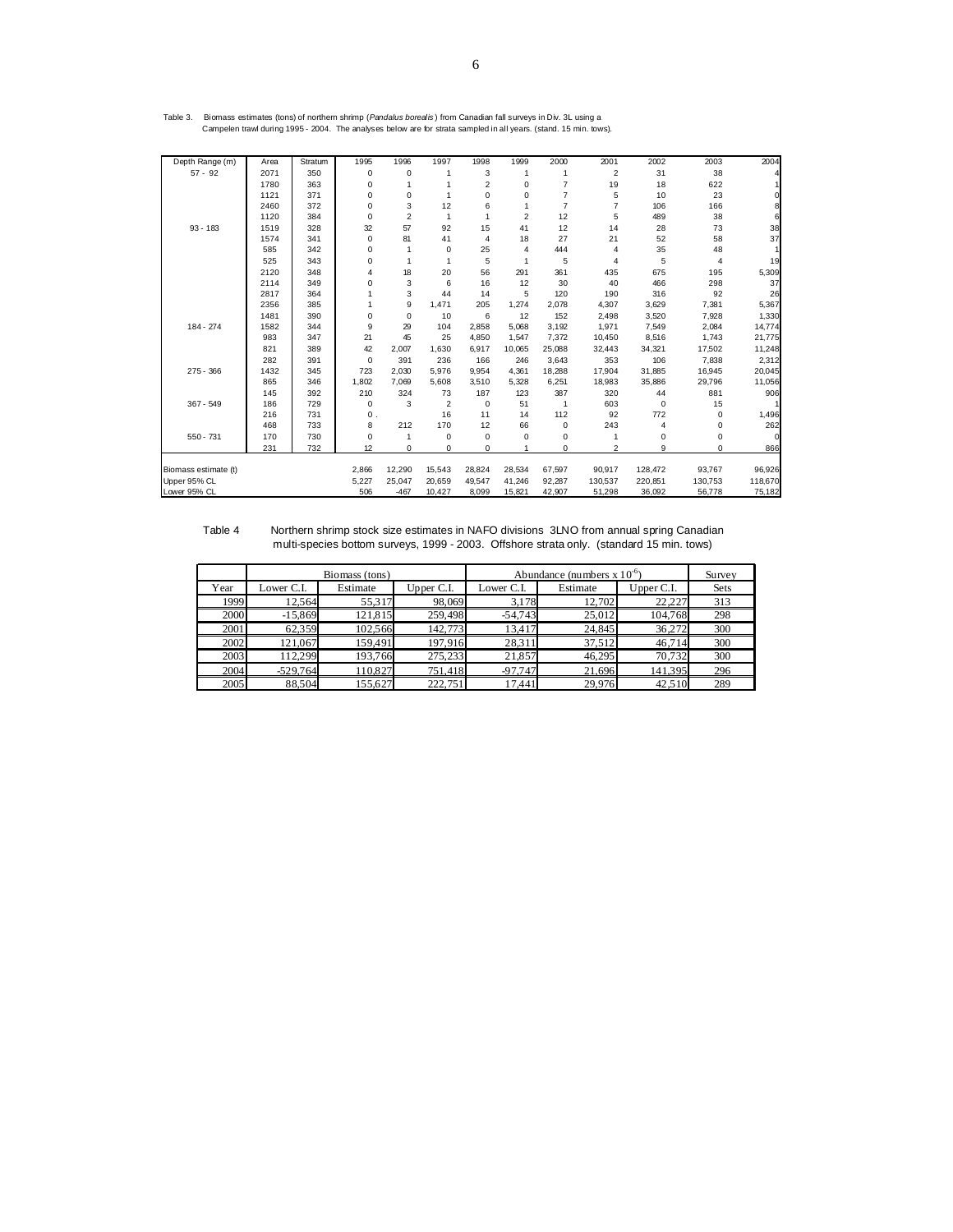| Table 3. | Biomass estimates (tons) of northern shrimp (Pandalus borealis) from Canadian fall surveys in Div. 3L using a     |  |  |
|----------|-------------------------------------------------------------------------------------------------------------------|--|--|
|          | Campelen trawl during 1995 - 2004. The analyses below are for strata sampled in all years. (stand. 15 min. tows). |  |  |

| Depth Range (m)      | Area | Stratum | 1995           | 1996           | 1997         | 1998           | 1999           | 2000           | 2001           | 2002        | 2003    | 2004    |
|----------------------|------|---------|----------------|----------------|--------------|----------------|----------------|----------------|----------------|-------------|---------|---------|
| $57 - 92$            | 2071 | 350     | 0              | $\Omega$       | 1            | 3              | $\mathbf{1}$   | 1              | $\overline{2}$ | 31          | 38      |         |
|                      | 1780 | 363     | 0              |                |              | $\overline{2}$ | $\mathbf 0$    | $\overline{7}$ | 19             | 18          | 622     |         |
|                      | 1121 | 371     | 0              | 0              | 1            | 0              | $\Omega$       | $\overline{7}$ | 5              | 10          | 23      |         |
|                      | 2460 | 372     | 0              | 3              | 12           | 6              | 1              | $\overline{7}$ | $\overline{7}$ | 106         | 166     |         |
|                      | 1120 | 384     | 0              | $\overline{2}$ | $\mathbf{1}$ | 1              | $\overline{2}$ | 12             | 5              | 489         | 38      | 6       |
| $93 - 183$           | 1519 | 328     | 32             | 57             | 92           | 15             | 41             | 12             | 14             | 28          | 73      | 38      |
|                      | 1574 | 341     | 0              | 81             | 41           | 4              | 18             | 27             | 21             | 52          | 58      | 37      |
|                      | 585  | 342     | 0              | 1              | $\mathbf 0$  | 25             | 4              | 444            | 4              | 35          | 48      |         |
|                      | 525  | 343     | 0              | 1              | 1            | 5              | 1              | 5              | 4              | 5           | 4       | 19      |
|                      | 2120 | 348     | 4              | 18             | 20           | 56             | 291            | 361            | 435            | 675         | 195     | 5,309   |
|                      | 2114 | 349     | 0              | 3              | 6            | 16             | 12             | 30             | 40             | 466         | 298     | 37      |
|                      | 2817 | 364     |                | 3              | 44           | 14             | 5              | 120            | 190            | 316         | 92      | 26      |
|                      | 2356 | 385     |                | 9              | 1.471        | 205            | 1,274          | 2,078          | 4,307          | 3,629       | 7,381   | 5,367   |
|                      | 1481 | 390     | 0              | $\mathbf 0$    | 10           | 6              | 12             | 152            | 2,498          | 3,520       | 7,928   | 1,330   |
| $184 - 274$          | 1582 | 344     | 9              | 29             | 104          | 2.858          | 5,068          | 3,192          | 1,971          | 7,549       | 2,084   | 14,774  |
|                      | 983  | 347     | 21             | 45             | 25           | 4,850          | 1,547          | 7,372          | 10,450         | 8,516       | 1,743   | 21,775  |
|                      | 821  | 389     | 42             | 2,007          | 1,630        | 6,917          | 10,065         | 25,088         | 32,443         | 34,321      | 17,502  | 11,248  |
|                      | 282  | 391     | $\Omega$       | 391            | 236          | 166            | 246            | 3,643          | 353            | 106         | 7,838   | 2,312   |
| 275 - 366            | 1432 | 345     | 723            | 2,030          | 5,976        | 9,954          | 4,361          | 18,288         | 17,904         | 31,885      | 16,945  | 20,045  |
|                      | 865  | 346     | 1,802          | 7,069          | 5,608        | 3,510          | 5,328          | 6,251          | 18,983         | 35,886      | 29,796  | 11,056  |
|                      | 145  | 392     | 210            | 324            | 73           | 187            | 123            | 387            | 320            | 44          | 881     | 906     |
| $367 - 549$          | 186  | 729     | 0              | 3              | 2            | 0              | 51             | 1              | 603            | $\mathbf 0$ | 15      |         |
|                      | 216  | 731     | $\mathbf{0}$ . |                | 16           | 11             | 14             | 112            | 92             | 772         | 0       | 1,496   |
|                      | 468  | 733     | 8              | 212            | 170          | 12             | 66             | $\mathbf 0$    | 243            | 4           | 0       | 262     |
| $550 - 731$          | 170  | 730     | 0              |                | 0            | 0              | 0              | 0              | 1              | 0           | 0       |         |
|                      | 231  | 732     | 12             | $\mathbf 0$    | $\mathbf 0$  | 0              |                | 0              | $\overline{2}$ | 9           | 0       | 866     |
|                      |      |         |                |                |              |                |                |                |                |             |         |         |
| Biomass estimate (t) |      |         | 2,866          | 12,290         | 15,543       | 28,824         | 28,534         | 67,597         | 90,917         | 128,472     | 93,767  | 96,926  |
| Upper 95% CL         |      |         | 5,227          | 25,047         | 20,659       | 49,547         | 41,246         | 92,287         | 130,537        | 220,851     | 130,753 | 118,670 |
| Lower 95% CL         |      |         | 506            | $-467$         | 10,427       | 8,099          | 15,821         | 42,907         | 51,298         | 36,092      | 56,778  | 75,182  |

 Table 4 Northern shrimp stock size estimates in NAFO divisions 3LNO from annual spring Canadian multi-species bottom surveys, 1999 - 2003. Offshore strata only. (standard 15 min. tows)

|      |            | Biomass (tons) |            | Abundance (numbers $x 10^{-6}$ ) | Survey   |            |             |
|------|------------|----------------|------------|----------------------------------|----------|------------|-------------|
| Year | Lower C.I. | Estimate       | Upper C.I. | Lower C.I.                       | Estimate | Upper C.I. | <b>Sets</b> |
| 1999 | 12.564     | 55,317         | 98,069     | 3.178                            | 12,702   | 22.227     | 313         |
| 2000 | $-15,869$  | 121,815        | 259,498    | $-54.743$                        | 25,012   | 104.768    | 298         |
| 2001 | 62,359     | 102.566        | 142,773    | 13,417                           | 24,845   | 36,272     | 300         |
| 2002 | 121.067    | 159.491        | 197.916    | 28,311                           | 37,512   | 46.714     | 300         |
| 2003 | 112.299    | 193.766        | 275.233    | 21.857                           | 46.295   | 70.732     | 300         |
| 2004 | $-529,764$ | 110,827        | 751,418    | $-97.747$                        | 21,696   | 141,395    | 296         |
| 2005 | 88.504     | 155.627        | 222,751    | 17.441                           | 29,976   | 42.510     | 289         |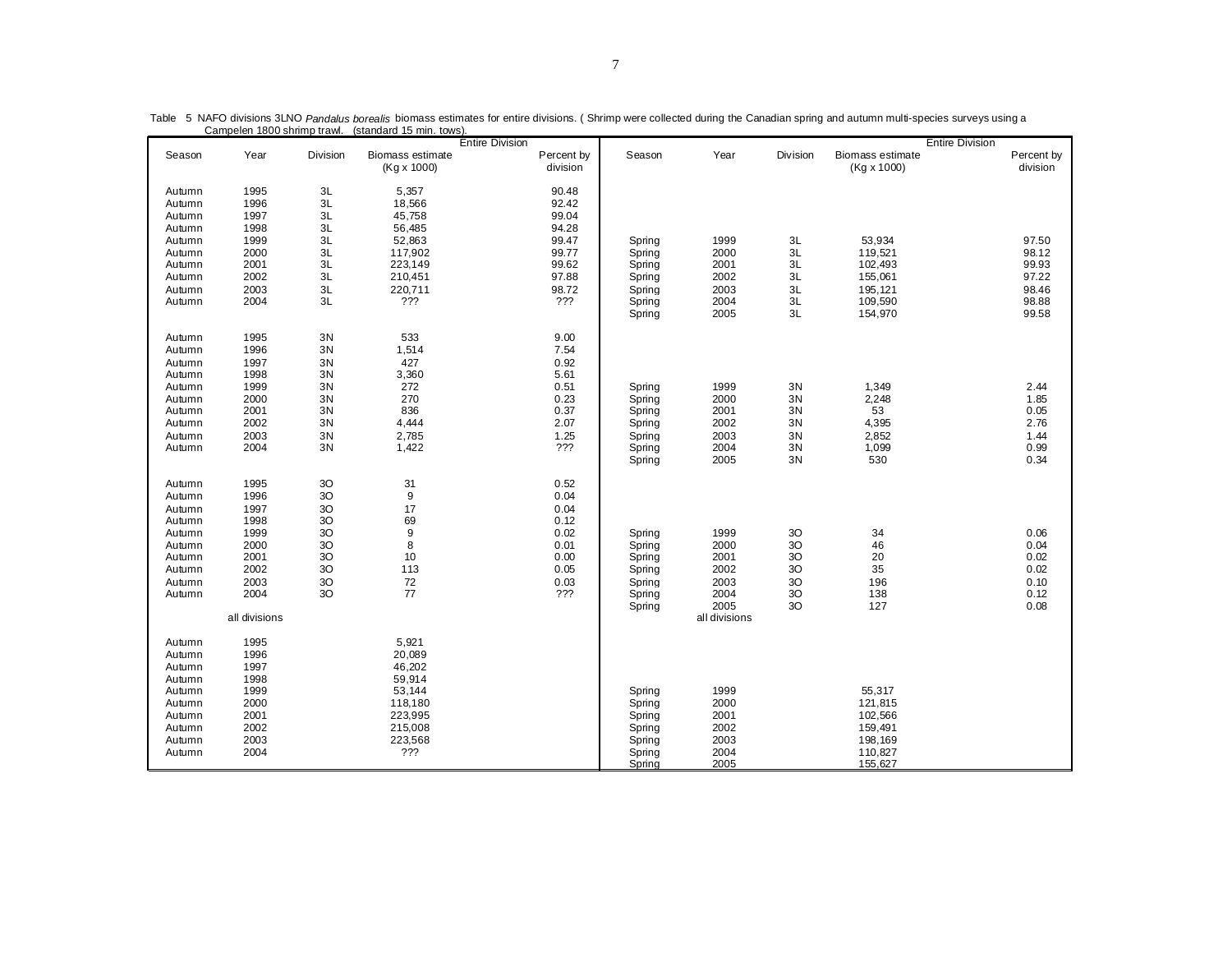|                                                                                                  | Campelen Tour Shimip trawi.<br>131 anuaru 10 min. 101 101<br><b>Entire Division</b>           |                                                                          |                                                                                                  |                                                                             | <b>Entire Division</b>                                             |                                                                       |                                                                            |                                                                          |                                                             |  |  |
|--------------------------------------------------------------------------------------------------|-----------------------------------------------------------------------------------------------|--------------------------------------------------------------------------|--------------------------------------------------------------------------------------------------|-----------------------------------------------------------------------------|--------------------------------------------------------------------|-----------------------------------------------------------------------|----------------------------------------------------------------------------|--------------------------------------------------------------------------|-------------------------------------------------------------|--|--|
| Season                                                                                           | Year                                                                                          | Division                                                                 | Biomass estimate<br>(Kg x 1000)                                                                  | Percent by<br>division                                                      | Season                                                             | Year                                                                  | Division                                                                   | Biomass estimate<br>(Kg x 1000)                                          | Percent by<br>division                                      |  |  |
| Autumn<br>Autumn<br>Autumn                                                                       | 1995<br>1996<br>1997                                                                          | 3L<br>3L<br>3L<br>3L                                                     | 5,357<br>18,566<br>45,758                                                                        | 90.48<br>92.42<br>99.04<br>94.28                                            |                                                                    |                                                                       |                                                                            |                                                                          |                                                             |  |  |
| Autumn<br>Autumn<br>Autumn<br>Autumn<br>Autumn<br>Autumn<br>Autumn                               | 1998<br>1999<br>2000<br>2001<br>2002<br>2003<br>2004                                          | 3L<br>3L<br>3L<br>3L<br>3L<br>3L                                         | 56,485<br>52,863<br>117,902<br>223,149<br>210,451<br>220,711<br>???                              | 99.47<br>99.77<br>99.62<br>97.88<br>98.72<br>???                            | Spring<br>Spring<br>Spring<br>Spring<br>Spring<br>Spring<br>Spring | 1999<br>2000<br>2001<br>2002<br>2003<br>2004<br>2005                  | 3L<br>3L<br>3L<br>3L<br>3L<br>3L<br>3L                                     | 53,934<br>119,521<br>102,493<br>155,061<br>195,121<br>109,590<br>154,970 | 97.50<br>98.12<br>99.93<br>97.22<br>98.46<br>98.88<br>99.58 |  |  |
| Autumn<br>Autumn<br>Autumn<br>Autumn<br>Autumn<br>Autumn<br>Autumn<br>Autumn<br>Autumn<br>Autumn | 1995<br>1996<br>1997<br>1998<br>1999<br>2000<br>2001<br>2002<br>2003<br>2004                  | 3N<br>3N<br>3N<br>3N<br>3N<br>3N<br>3N<br>3N<br>$3\mathrm{N}$<br>3N      | 533<br>1,514<br>427<br>3,360<br>272<br>270<br>836<br>4,444<br>2,785<br>1,422                     | 9.00<br>7.54<br>0.92<br>5.61<br>0.51<br>0.23<br>0.37<br>2.07<br>1.25<br>??? | Spring<br>Spring<br>Spring<br>Spring<br>Spring<br>Spring<br>Spring | 1999<br>2000<br>2001<br>2002<br>2003<br>2004<br>2005                  | 3N<br>3N<br>3N<br>3N<br>3N<br>3N<br>3N                                     | 1,349<br>2,248<br>53<br>4,395<br>2,852<br>1,099<br>530                   | 2.44<br>1.85<br>0.05<br>2.76<br>1.44<br>0.99<br>0.34        |  |  |
| Autumn<br>Autumn<br>Autumn<br>Autumn<br>Autumn<br>Autumn<br>Autumn<br>Autumn<br>Autumn<br>Autumn | 1995<br>1996<br>1997<br>1998<br>1999<br>2000<br>2001<br>2002<br>2003<br>2004<br>all divisions | 3O<br>3O<br>3O<br>3O<br>$3{\rm O}$<br>$3{\rm O}$<br>3O<br>3O<br>3O<br>3O | 31<br>9<br>17<br>69<br>$\boldsymbol{9}$<br>8<br>10<br>113<br>$72\,$<br>77                        | 0.52<br>0.04<br>0.04<br>0.12<br>0.02<br>0.01<br>0.00<br>0.05<br>0.03<br>??? | Spring<br>Spring<br>Spring<br>Spring<br>Spring<br>Spring<br>Spring | 1999<br>2000<br>2001<br>2002<br>2003<br>2004<br>2005<br>all divisions | 3O<br>30<br>3 <sup>O</sup><br>3 <sup>O</sup><br>3 <sup>O</sup><br>3O<br>30 | 34<br>46<br>20<br>35<br>196<br>138<br>127                                | 0.06<br>0.04<br>0.02<br>0.02<br>0.10<br>0.12<br>0.08        |  |  |
| Autumn<br>Autumn<br>Autumn<br>Autumn<br>Autumn<br>Autumn<br>Autumn<br>Autumn<br>Autumn<br>Autumn | 1995<br>1996<br>1997<br>1998<br>1999<br>2000<br>2001<br>2002<br>2003<br>2004                  |                                                                          | 5,921<br>20,089<br>46,202<br>59,914<br>53,144<br>118,180<br>223,995<br>215,008<br>223,568<br>??? |                                                                             | Spring<br>Spring<br>Spring<br>Spring<br>Spring<br>Spring<br>Spring | 1999<br>2000<br>2001<br>2002<br>2003<br>2004<br>2005                  |                                                                            | 55,317<br>121,815<br>102,566<br>159,491<br>198,169<br>110,827<br>155,627 |                                                             |  |  |

Table 5 NAFO divisions 3LNO Pandalus borealis biomass estimates for entire divisions. (Shrimp were collected during the Canadian spring and autumn multi-species surveys using a<br>Campelen 1800 shrimp trawl. (standard 15 min.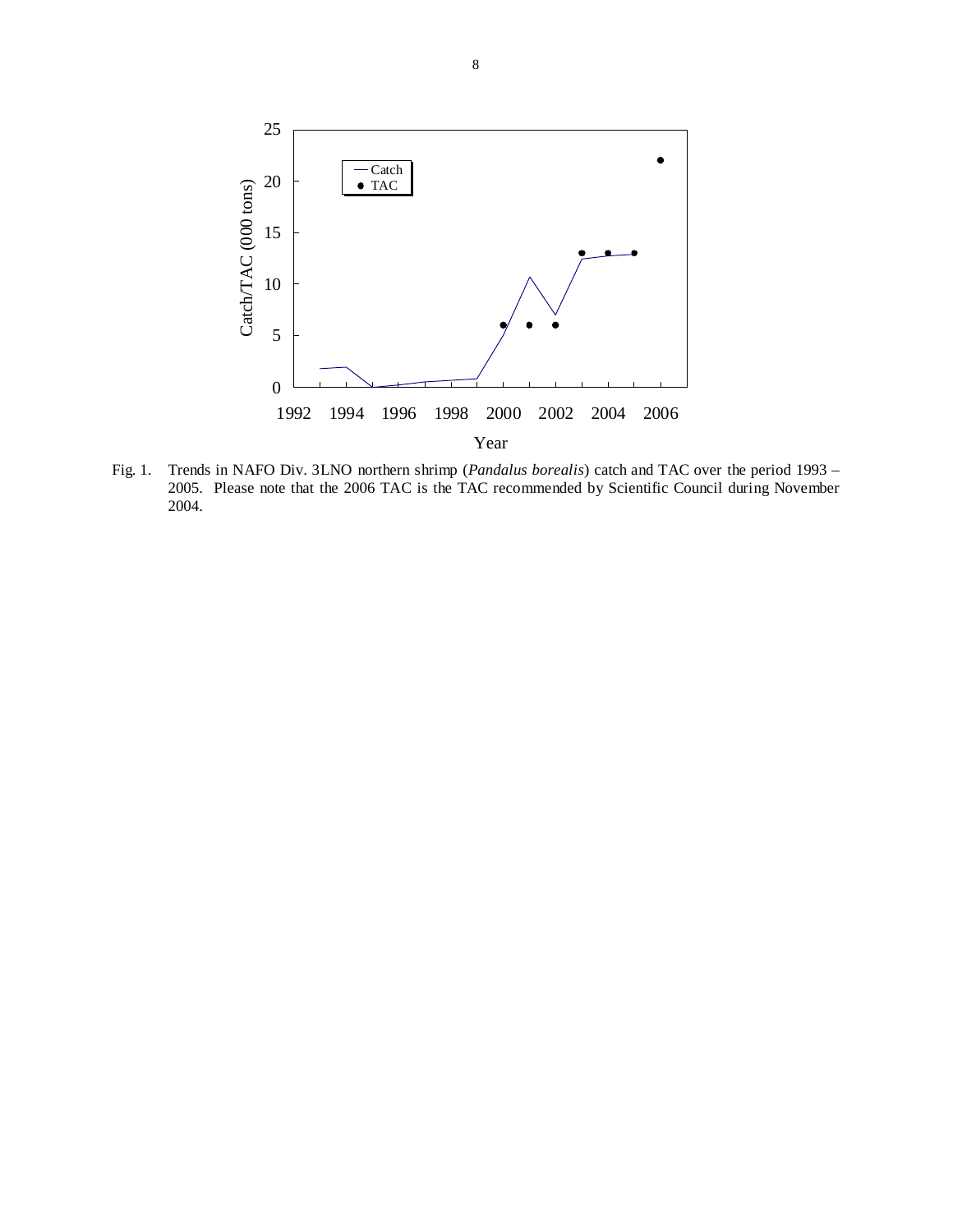

Fig. 1. Trends in NAFO Div. 3LNO northern shrimp (*Pandalus borealis*) catch and TAC over the period 1993 – 2005. Please note that the 2006 TAC is the TAC recommended by Scientific Council during November 2004.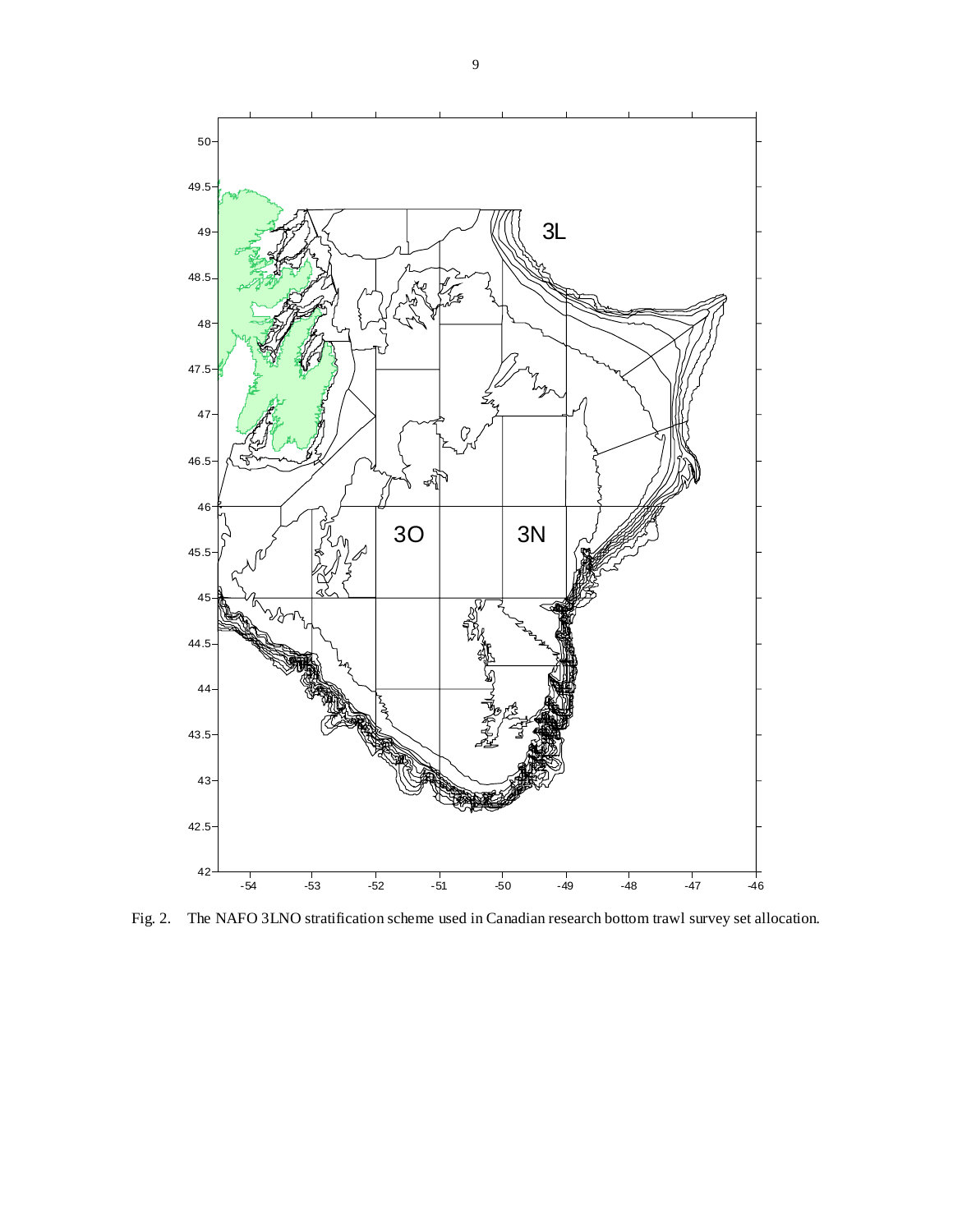

Fig. 2. The NAFO 3LNO stratification scheme used in Canadian research bottom trawl survey set allocation.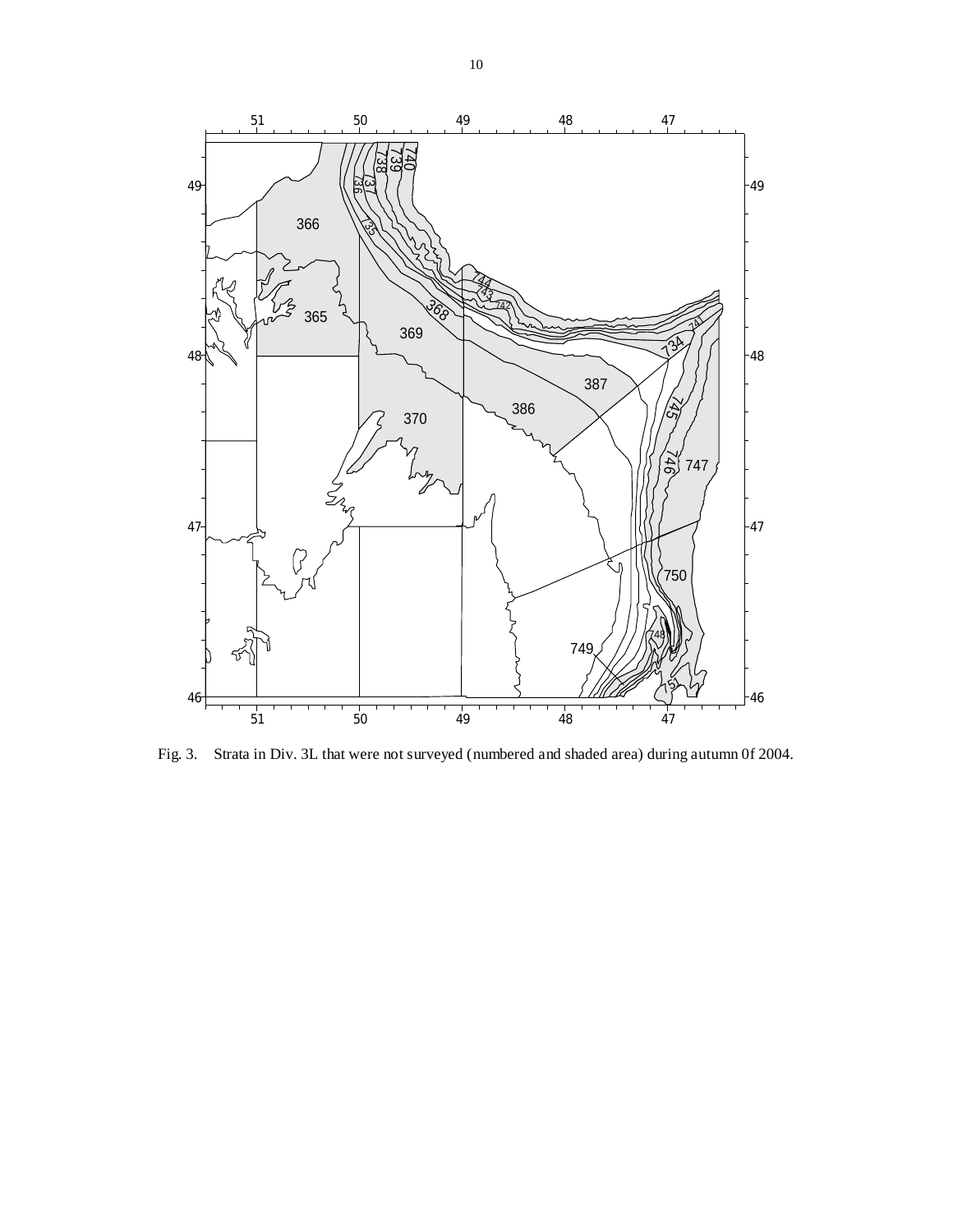

Fig. 3. Strata in Div. 3L that were not surveyed (numbered and shaded area) during autumn 0f 2004.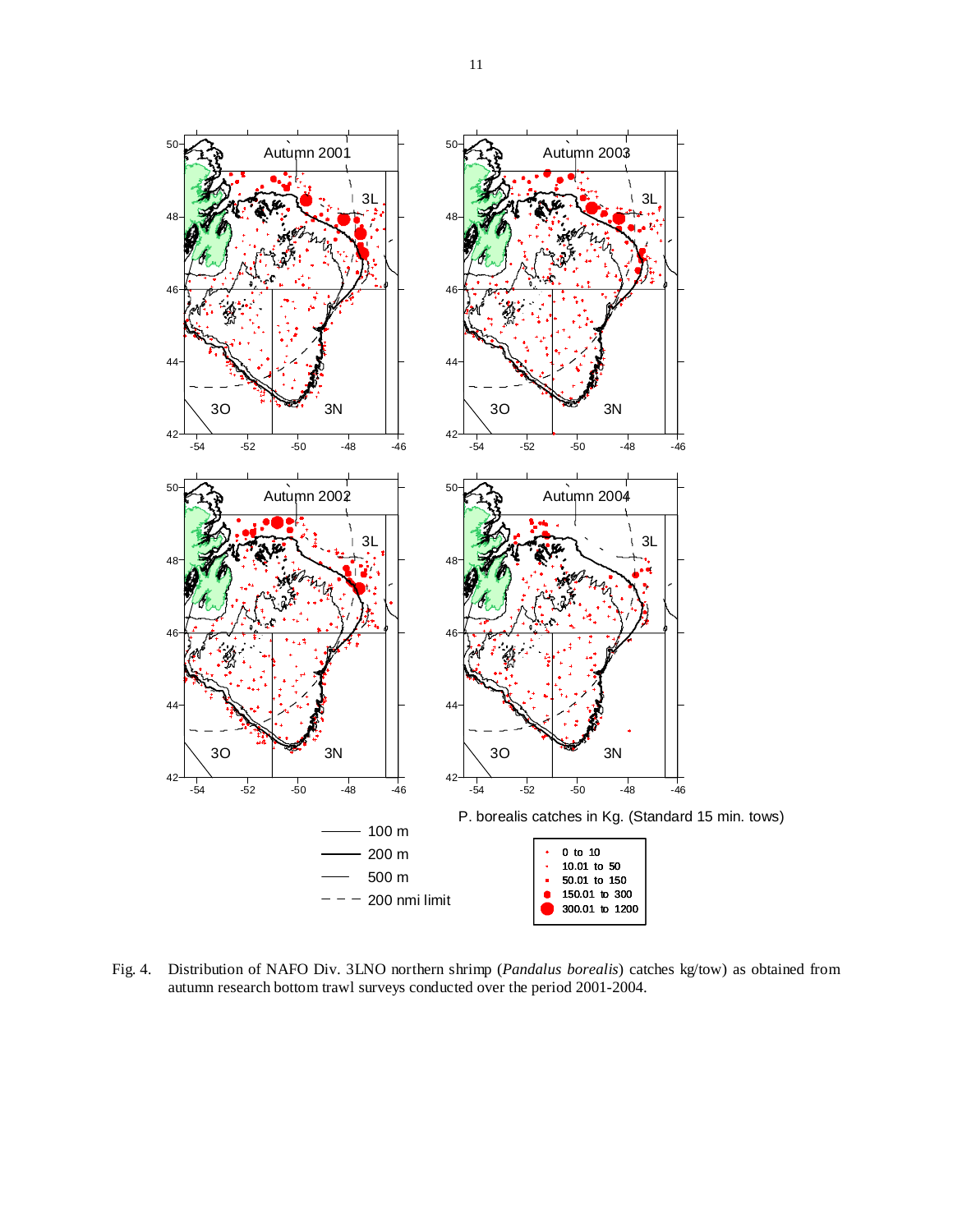

Fig. 4. Distribution of NAFO Div. 3LNO northern shrimp (*Pandalus borealis*) catches kg/tow) as obtained from autumn research bottom trawl surveys conducted over the period 2001-2004.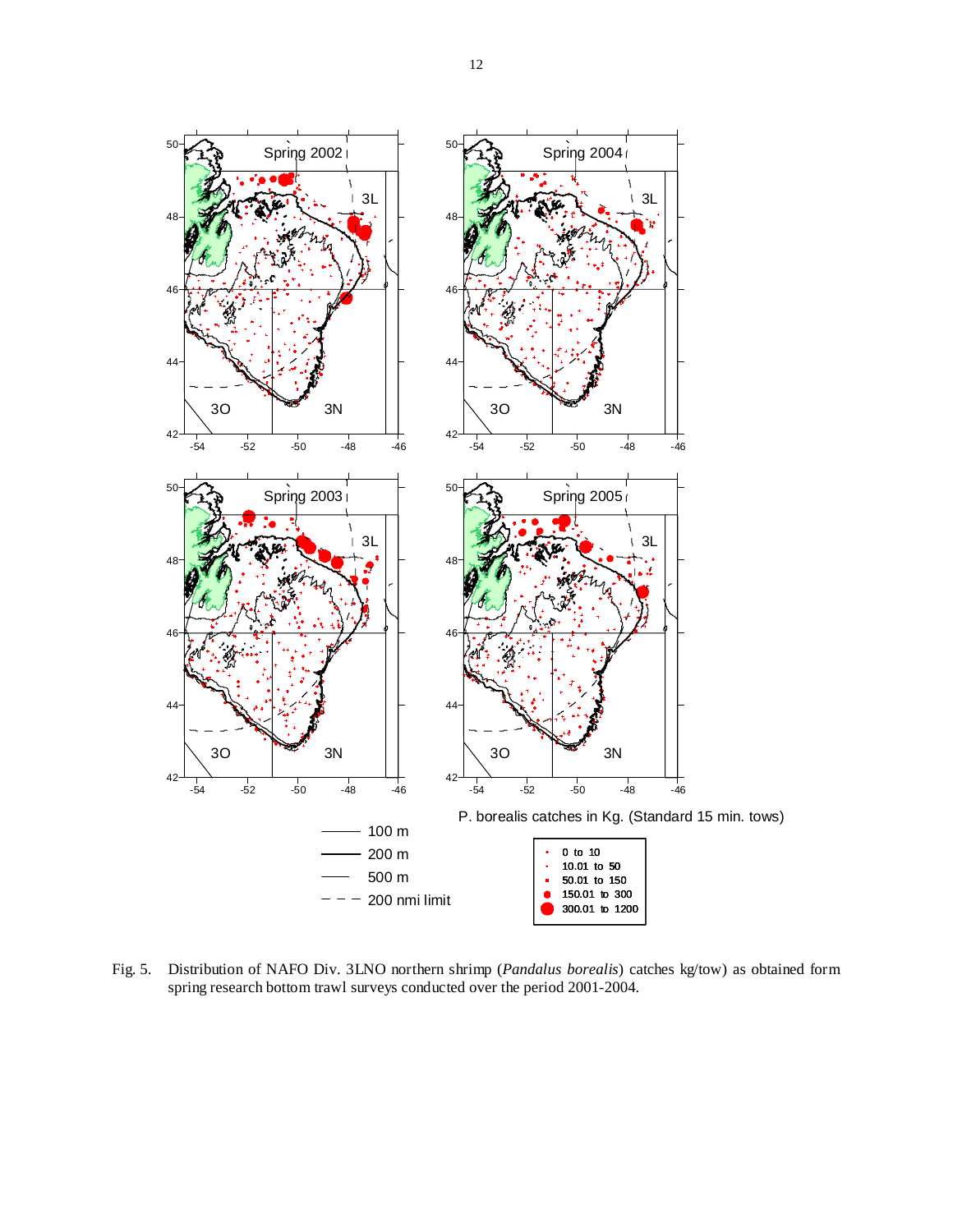

Fig. 5. Distribution of NAFO Div. 3LNO northern shrimp (*Pandalus borealis*) catches kg/tow) as obtained form spring research bottom trawl surveys conducted over the period 2001-2004.